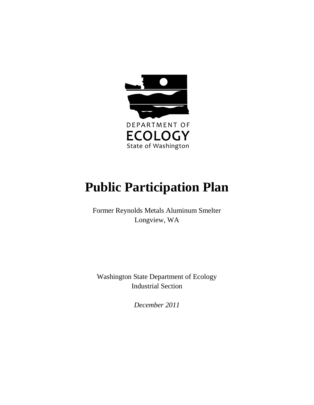

# **Public Participation Plan**

Former Reynolds Metals Aluminum Smelter Longview, WA

Washington State Department of Ecology Industrial Section

*December 2011*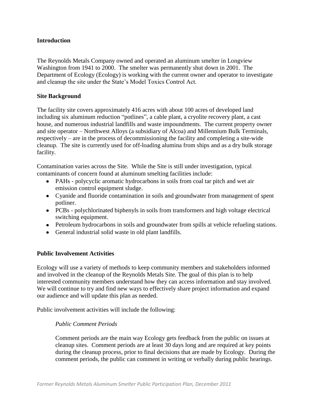# **Introduction**

The Reynolds Metals Company owned and operated an aluminum smelter in Longview Washington from 1941 to 2000. The smelter was permanently shut down in 2001. The Department of Ecology (Ecology) is working with the current owner and operator to investigate and cleanup the site under the State's Model Toxics Control Act.

## **Site Background**

The facility site covers approximately 416 acres with about 100 acres of developed land including six aluminum reduction "potlines", a cable plant, a cryolite recovery plant, a cast house, and numerous industrial landfills and waste impoundments. The current property owner and site operator – Northwest Alloys (a subsidiary of Alcoa) and Millennium Bulk Terminals, respectively – are in the process of decommissioning the facility and completing a site-wide cleanup. The site is currently used for off-loading alumina from ships and as a dry bulk storage facility.

Contamination varies across the Site. While the Site is still under investigation, typical contaminants of concern found at aluminum smelting facilities include:

- PAHs polycyclic aromatic hydrocarbons in soils from coal tar pitch and wet air emission control equipment sludge.
- Cyanide and fluoride contamination in soils and groundwater from management of spent potliner.
- PCBs polychlorinated biphenyls in soils from transformers and high voltage electrical switching equipment.
- Petroleum hydrocarbons in soils and groundwater from spills at vehicle refueling stations.
- General industrial solid waste in old plant landfills.

# **Public Involvement Activities**

Ecology will use a variety of methods to keep community members and stakeholders informed and involved in the cleanup of the Reynolds Metals Site. The goal of this plan is to help interested community members understand how they can access information and stay involved. We will continue to try and find new ways to effectively share project information and expand our audience and will update this plan as needed.

Public involvement activities will include the following:

## *Public Comment Periods*

Comment periods are the main way Ecology gets feedback from the public on issues at cleanup sites. Comment periods are at least 30 days long and are required at key points during the cleanup process, prior to final decisions that are made by Ecology. During the comment periods, the public can comment in writing or verbally during public hearings.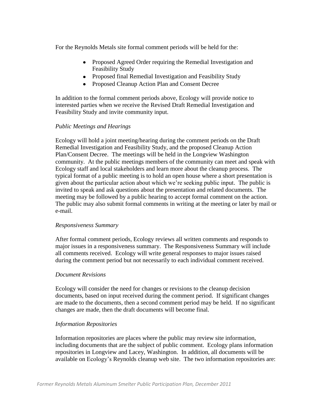For the Reynolds Metals site formal comment periods will be held for the:

- Proposed Agreed Order requiring the Remedial Investigation and Feasibility Study
- Proposed final Remedial Investigation and Feasibility Study
- Proposed Cleanup Action Plan and Consent Decree

In addition to the formal comment periods above, Ecology will provide notice to interested parties when we receive the Revised Draft Remedial Investigation and Feasibility Study and invite community input.

## *Public Meetings and Hearings*

Ecology will hold a joint meeting/hearing during the comment periods on the Draft Remedial Investigation and Feasibility Study, and the proposed Cleanup Action Plan/Consent Decree. The meetings will be held in the Longview Washington community. At the public meetings members of the community can meet and speak with Ecology staff and local stakeholders and learn more about the cleanup process. The typical format of a public meeting is to hold an open house where a short presentation is given about the particular action about which we're seeking public input. The public is invited to speak and ask questions about the presentation and related documents. The meeting may be followed by a public hearing to accept formal comment on the action. The public may also submit formal comments in writing at the meeting or later by mail or e-mail.

## *Responsiveness Summary*

After formal comment periods, Ecology reviews all written comments and responds to major issues in a responsiveness summary. The Responsiveness Summary will include all comments received. Ecology will write general responses to major issues raised during the comment period but not necessarily to each individual comment received.

## *Document Revisions*

Ecology will consider the need for changes or revisions to the cleanup decision documents, based on input received during the comment period. If significant changes are made to the documents, then a second comment period may be held. If no significant changes are made, then the draft documents will become final.

## *Information Repositories*

Information repositories are places where the public may review site information, including documents that are the subject of public comment. Ecology plans information repositories in Longview and Lacey, Washington. In addition, all documents will be available on Ecology's Reynolds cleanup web site. The two information repositories are: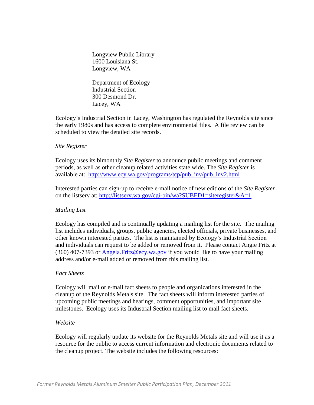Longview Public Library 1600 Louisiana St. Longview, WA

Department of Ecology Industrial Section 300 Desmond Dr. Lacey, WA

Ecology's Industrial Section in Lacey, Washington has regulated the Reynolds site since the early 1980s and has access to complete environmental files. A file review can be scheduled to view the detailed site records.

## *Site Register*

Ecology uses its bimonthly *Site Register* to announce public meetings and comment periods, as well as other cleanup related activities state wide. The *Site Register* is available at: [http://www.ecy.wa.gov/programs/tcp/pub\\_inv/pub\\_inv2.html](http://www.ecy.wa.gov/programs/tcp/pub_inv/pub_inv2.html)

Interested parties can sign-up to receive e-mail notice of new editions of the *Site Register* on the listserv at: <http://listserv.wa.gov/cgi-bin/wa?SUBED1=siteregister&A=1>

## *Mailing List*

Ecology has compiled and is continually updating a mailing list for the site. The mailing list includes individuals, groups, public agencies, elected officials, private businesses, and other known interested parties. The list is maintained by Ecology's Industrial Section and individuals can request to be added or removed from it. Please contact Angie Fritz at (360) 407-7393 or [Angela.Fritz@ecy.wa.gov](mailto:Angela.Fritz@ecy.wa.gov) if you would like to have your mailing address and/or e-mail added or removed from this mailing list.

## *Fact Sheets*

Ecology will mail or e-mail fact sheets to people and organizations interested in the cleanup of the Reynolds Metals site. The fact sheets will inform interested parties of upcoming public meetings and hearings, comment opportunities, and important site milestones. Ecology uses its Industrial Section mailing list to mail fact sheets.

#### *Website*

Ecology will regularly update its website for the Reynolds Metals site and will use it as a resource for the public to access current information and electronic documents related to the cleanup project. The website includes the following resources: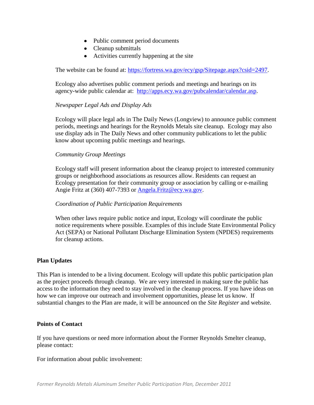- Public comment period documents
- Cleanup submittals
- Activities currently happening at the site

The website can be found at: [https://fortress.wa.gov/ecy/gsp/Sitepage.aspx?csid=2497.](https://fortress.wa.gov/ecy/gsp/Sitepage.aspx?csid=2497)

Ecology also advertises public comment periods and meetings and hearings on its agency-wide public calendar at: [http://apps.ecy.wa.gov/pubcalendar/calendar.asp.](http://apps.ecy.wa.gov/pubcalendar/calendar.asp)

## *Newspaper Legal Ads and Display Ads*

Ecology will place legal ads in The Daily News (Longview) to announce public comment periods, meetings and hearings for the Reynolds Metals site cleanup. Ecology may also use display ads in The Daily News and other community publications to let the public know about upcoming public meetings and hearings.

#### *Community Group Meetings*

Ecology staff will present information about the cleanup project to interested community groups or neighborhood associations as resources allow. Residents can request an Ecology presentation for their community group or association by calling or e-mailing Angie Fritz at (360) 407-7393 or [Angela.Fritz@ecy.wa.gov.](mailto:Angela.Fritz@ecy.wa.gov)

#### *Coordination of Public Participation Requirements*

When other laws require public notice and input, Ecology will coordinate the public notice requirements where possible. Examples of this include State Environmental Policy Act (SEPA) or National Pollutant Discharge Elimination System (NPDES) requirements for cleanup actions.

#### **Plan Updates**

This Plan is intended to be a living document. Ecology will update this public participation plan as the project proceeds through cleanup. We are very interested in making sure the public has access to the information they need to stay involved in the cleanup process. If you have ideas on how we can improve our outreach and involvement opportunities, please let us know. If substantial changes to the Plan are made, it will be announced on the *Site Register* and website.

#### **Points of Contact**

If you have questions or need more information about the Former Reynolds Smelter cleanup, please contact:

For information about public involvement: